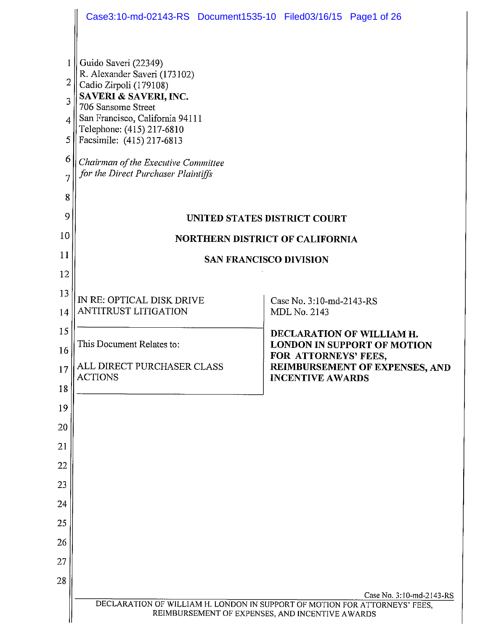|                                           | Case3:10-md-02143-RS Document1535-10 Filed03/16/15 Page1 of 26                                                                                                                                                                                                                                           |                                                                  |  |  |
|-------------------------------------------|----------------------------------------------------------------------------------------------------------------------------------------------------------------------------------------------------------------------------------------------------------------------------------------------------------|------------------------------------------------------------------|--|--|
| 1<br>2<br>3<br>4<br>5<br>6<br>7<br>8<br>9 | Guido Saveri (22349)<br>R. Alexander Saveri (173102)<br>Cadio Zirpoli (179108)<br>SAVERI & SAVERI, INC.<br>706 Sansome Street<br>San Francisco, California 94111<br>Telephone: (415) 217-6810<br>Facsimile: (415) 217-6813<br>Chairman of the Executive Committee<br>for the Direct Purchaser Plaintiffs | <b>UNITED STATES DISTRICT COURT</b>                              |  |  |
| 10                                        |                                                                                                                                                                                                                                                                                                          | <b>NORTHERN DISTRICT OF CALIFORNIA</b>                           |  |  |
| 11                                        | <b>SAN FRANCISCO DIVISION</b>                                                                                                                                                                                                                                                                            |                                                                  |  |  |
| 12                                        |                                                                                                                                                                                                                                                                                                          |                                                                  |  |  |
| 13                                        | IN RE: OPTICAL DISK DRIVE                                                                                                                                                                                                                                                                                | Case No. 3:10-md-2143-RS                                         |  |  |
| 14                                        | ANTITRUST LITIGATION                                                                                                                                                                                                                                                                                     | MDL No. 2143                                                     |  |  |
| 15                                        |                                                                                                                                                                                                                                                                                                          | DECLARATION OF WILLIAM H.                                        |  |  |
| 16                                        | This Document Relates to:                                                                                                                                                                                                                                                                                | <b>LONDON IN SUPPORT OF MOTION</b><br>FOR ATTORNEYS' FEES,       |  |  |
| 17                                        | ALL DIRECT PURCHASER CLASS<br><b>ACTIONS</b>                                                                                                                                                                                                                                                             | <b>REIMBURSEMENT OF EXPENSES, AND</b><br><b>INCENTIVE AWARDS</b> |  |  |
| 18                                        |                                                                                                                                                                                                                                                                                                          |                                                                  |  |  |
| 19<br>20                                  |                                                                                                                                                                                                                                                                                                          |                                                                  |  |  |
| 21                                        |                                                                                                                                                                                                                                                                                                          |                                                                  |  |  |
| 22                                        |                                                                                                                                                                                                                                                                                                          |                                                                  |  |  |
| 23                                        |                                                                                                                                                                                                                                                                                                          |                                                                  |  |  |
| 24                                        |                                                                                                                                                                                                                                                                                                          |                                                                  |  |  |
| 25                                        |                                                                                                                                                                                                                                                                                                          |                                                                  |  |  |
| 26                                        |                                                                                                                                                                                                                                                                                                          |                                                                  |  |  |
| 27                                        |                                                                                                                                                                                                                                                                                                          |                                                                  |  |  |
| 28                                        |                                                                                                                                                                                                                                                                                                          |                                                                  |  |  |
|                                           | DECLARATION OF WILLIAM H. LONDON IN SUPPORT OF MOTION FOR ATTORNEYS' FEES,<br>REIMBURSEMENT OF EXPENSES, AND INCENTIVE AWARDS                                                                                                                                                                            | Case No. 3:10-md-2143-RS                                         |  |  |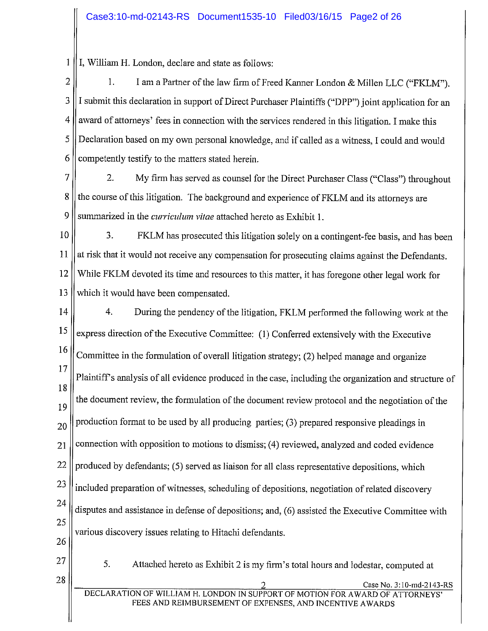$\mathbf{1}$ I, William H. London, declare and state as follows:

 $\overline{2}$ I am a Partner of the law firm of Freed Kanner London & Millen LLC ("FKLM").  $\mathbf{1}$ . 3 I submit this declaration in support of Direct Purchaser Plaintiffs ("DPP") joint application for an 4 award of attorneys' fees in connection with the services rendered in this litigation. I make this 5 Declaration based on my own personal knowledge, and if called as a witness, I could and would 6 competently testify to the matters stated herein.

7  $2.$ My firm has served as counsel for the Direct Purchaser Class ("Class") throughout 8 the course of this litigation. The background and experience of FKLM and its attorneys are 9 summarized in the *curriculum vitae* attached hereto as Exhibit 1.

10 3. FKLM has prosecuted this litigation solely on a contingent-fee basis, and has been 11 at risk that it would not receive any compensation for prosecuting claims against the Defendants. 12 While FKLM devoted its time and resources to this matter, it has foregone other legal work for 13 which it would have been compensated.

14  $\overline{4}$ . During the pendency of the litigation, FKLM performed the following work at the 15 express direction of the Executive Committee: (1) Conferred extensively with the Executive 16 Committee in the formulation of overall litigation strategy; (2) helped manage and organize 17 Plaintiff's analysis of all evidence produced in the case, including the organization and structure of 18 the document review, the formulation of the document review protocol and the negotiation of the 19 production format to be used by all producing parties; (3) prepared responsive pleadings in 20 connection with opposition to motions to dismiss; (4) reviewed, analyzed and coded evidence 21 22 produced by defendants; (5) served as liaison for all class representative depositions, which 23 included preparation of witnesses, scheduling of depositions, negotiation of related discovery 24 disputes and assistance in defense of depositions; and, (6) assisted the Executive Committee with 25 various discovery issues relating to Hitachi defendants. 26

27

28

5. Attached hereto as Exhibit 2 is my firm's total hours and lodestar, computed at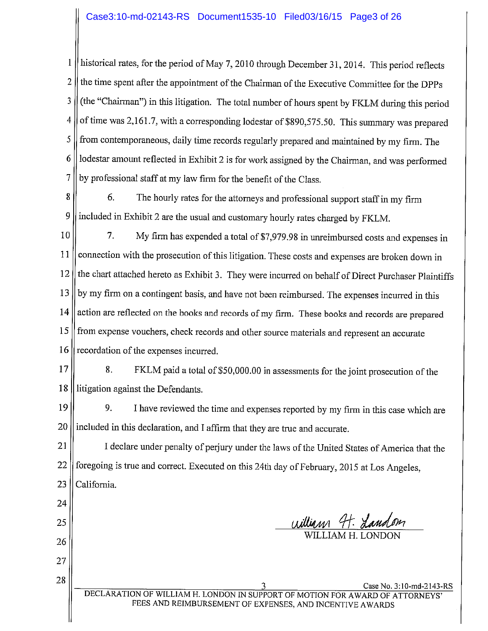$\mathbf{1}$ historical rates, for the period of May 7, 2010 through December 31, 2014. This period reflects  $\overline{2}$ the time spent after the appointment of the Chairman of the Executive Committee for the DPPs (the "Chairman") in this litigation. The total number of hours spent by FKLM during this period  $\overline{3}$ of time was 2,161.7, with a corresponding lodestar of \$890,575.50. This summary was prepared  $\overline{4}$ from contemporaneous, daily time records regularly prepared and maintained by my firm. The 5 lodestar amount reflected in Exhibit 2 is for work assigned by the Chairman, and was performed 6 7 by professional staff at my law firm for the benefit of the Class.

8 6. The hourly rates for the attorneys and professional support staff in my firm 9 included in Exhibit 2 are the usual and customary hourly rates charged by FKLM.

10 7. My firm has expended a total of \$7,979.98 in unreimbursed costs and expenses in connection with the prosecution of this litigation. These costs and expenses are broken down in 11 the chart attached hereto as Exhibit 3. They were incurred on behalf of Direct Purchaser Plaintiffs 12 by my firm on a contingent basis, and have not been reimbursed. The expenses incurred in this 13 action are reflected on the books and records of my firm. These books and records are prepared 14 from expense vouchers, check records and other source materials and represent an accurate 15 recordation of the expenses incurred. 16

 $17$ 

 $\mathbf{R}$ . FKLM paid a total of \$50,000.00 in assessments for the joint prosecution of the 18 litigation against the Defendants.

19 9. I have reviewed the time and expenses reported by my firm in this case which are included in this declaration, and I affirm that they are true and accurate. 20

21 I declare under penalty of perjury under the laws of the United States of America that the foregoing is true and correct. Executed on this 24th day of February, 2015 at Los Angeles, 22 23 California.

24 25

26

27

28

william 4t. Landon

Case No. 3:10-md-2143-RS DECLARATION OF WILLIAM H. LONDON IN SUPPORT OF MOTION FOR AWARD OF ATTORNEYS FEES AND REIMBURSEMENT OF EXPENSES, AND INCENTIVE AWARDS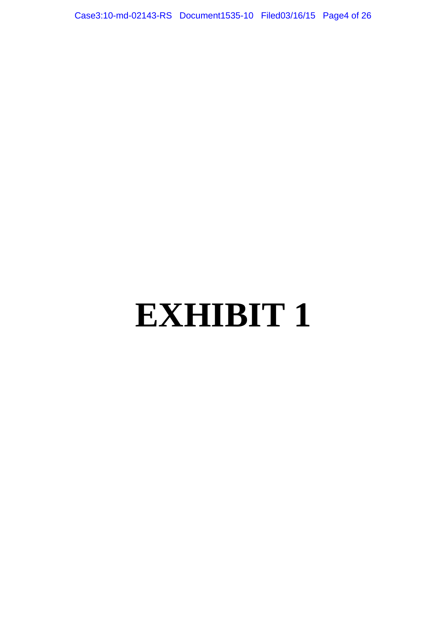Case3:10-md-02143-RS Document1535-10 Filed03/16/15 Page4 of 26

# **EXHIBIT 1**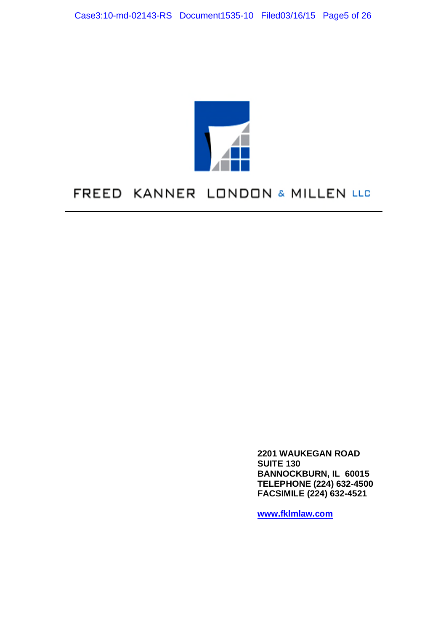

## FREED KANNER LONDON & MILLEN LLC

**2201 WAUKEGAN ROAD SUITE 130 BANNOCKBURN, IL 60015 TELEPHONE (224) 632-4500 FACSIMILE (224) 632-4521**

**www.fklmlaw.com**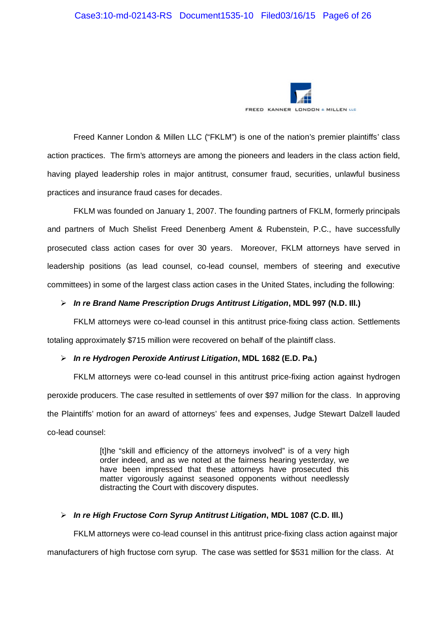

Freed Kanner London & Millen LLC ("FKLM") is one of the nation's premier plaintiffs' class action practices. The firm's attorneys are among the pioneers and leaders in the class action field, having played leadership roles in major antitrust, consumer fraud, securities, unlawful business practices and insurance fraud cases for decades.

FKLM was founded on January 1, 2007. The founding partners of FKLM, formerly principals and partners of Much Shelist Freed Denenberg Ament & Rubenstein, P.C., have successfully prosecuted class action cases for over 30 years. Moreover, FKLM attorneys have served in leadership positions (as lead counsel, co-lead counsel, members of steering and executive committees) in some of the largest class action cases in the United States, including the following:

#### *In re Brand Name Prescription Drugs Antitrust Litigation***, MDL 997 (N.D. Ill.)**

FKLM attorneys were co-lead counsel in this antitrust price-fixing class action. Settlements totaling approximately \$715 million were recovered on behalf of the plaintiff class.

#### *In re Hydrogen Peroxide Antirust Litigation***, MDL 1682 (E.D. Pa.)**

FKLM attorneys were co-lead counsel in this antitrust price-fixing action against hydrogen peroxide producers. The case resulted in settlements of over \$97 million for the class. In approving the Plaintiffs' motion for an award of attorneys' fees and expenses, Judge Stewart Dalzell lauded co-lead counsel:

> [t]he "skill and efficiency of the attorneys involved" is of a very high order indeed, and as we noted at the fairness hearing yesterday, we have been impressed that these attorneys have prosecuted this matter vigorously against seasoned opponents without needlessly distracting the Court with discovery disputes.

#### *In re High Fructose Corn Syrup Antitrust Litigation***, MDL 1087 (C.D. Ill.)**

FKLM attorneys were co-lead counsel in this antitrust price-fixing class action against major manufacturers of high fructose corn syrup. The case was settled for \$531 million for the class. At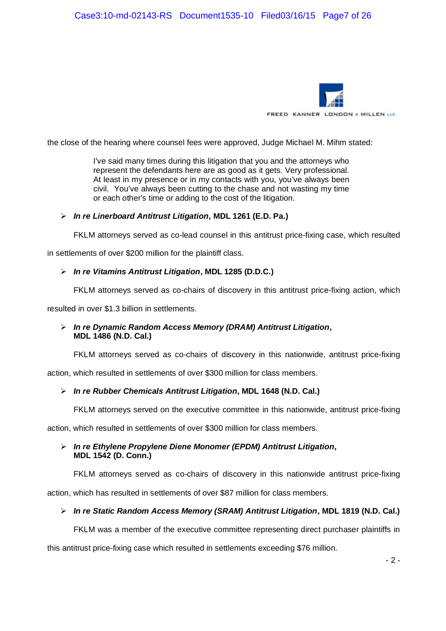

the close of the hearing where counsel fees were approved, Judge Michael M. Mihm stated:

I've said many times during this litigation that you and the attorneys who represent the defendants here are as good as it gets. Very professional. At least in my presence or in my contacts with you, you've always been civil. You've always been cutting to the chase and not wasting my time or each other's time or adding to the cost of the litigation.

#### *In re Linerboard Antitrust Litigation***, MDL 1261 (E.D. Pa.)**

FKLM attorneys served as co-lead counsel in this antitrust price-fixing case, which resulted

in settlements of over \$200 million for the plaintiff class.

#### *In re Vitamins Antitrust Litigation***, MDL 1285 (D.D.C.)**

FKLM attorneys served as co-chairs of discovery in this antitrust price-fixing action, which

resulted in over \$1.3 billion in settlements.

#### *In re Dynamic Random Access Memory (DRAM) Antitrust Litigation***, MDL 1486 (N.D. Cal.)**

FKLM attorneys served as co-chairs of discovery in this nationwide, antitrust price-fixing

action, which resulted in settlements of over \$300 million for class members.

#### *In re Rubber Chemicals Antitrust Litigation***, MDL 1648 (N.D. Cal.)**

FKLM attorneys served on the executive committee in this nationwide, antitrust price-fixing

action, which resulted in settlements of over \$300 million for class members.

#### *In re Ethylene Propylene Diene Monomer (EPDM) Antitrust Litigation***, MDL 1542 (D. Conn.)**

FKLM attorneys served as co-chairs of discovery in this nationwide antitrust price-fixing

action, which has resulted in settlements of over \$87 million for class members.

#### *In re Static Random Access Memory (SRAM) Antitrust Litigation***, MDL 1819 (N.D. Cal.)**

FKLM was a member of the executive committee representing direct purchaser plaintiffs in

this antitrust price-fixing case which resulted in settlements exceeding \$76 million.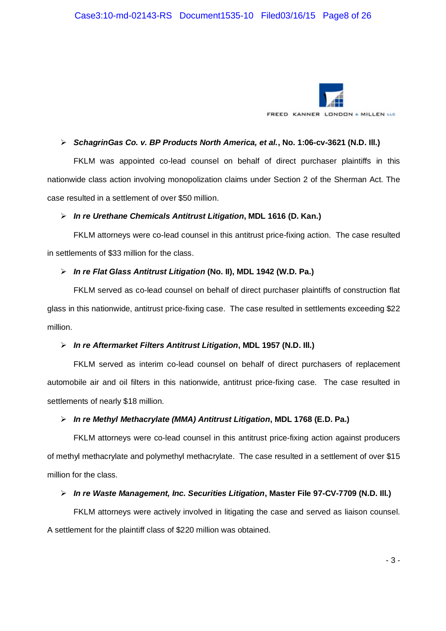

#### *SchagrinGas Co. v. BP Products North America, et al.***, No. 1:06-cv-3621 (N.D. Ill.)**

FKLM was appointed co-lead counsel on behalf of direct purchaser plaintiffs in this nationwide class action involving monopolization claims under Section 2 of the Sherman Act. The case resulted in a settlement of over \$50 million.

#### *In re Urethane Chemicals Antitrust Litigation***, MDL 1616 (D. Kan.)**

FKLM attorneys were co-lead counsel in this antitrust price-fixing action. The case resulted in settlements of \$33 million for the class.

#### *In re Flat Glass Antitrust Litigation* **(No. II), MDL 1942 (W.D. Pa.)**

FKLM served as co-lead counsel on behalf of direct purchaser plaintiffs of construction flat glass in this nationwide, antitrust price-fixing case. The case resulted in settlements exceeding \$22 million.

#### *In re Aftermarket Filters Antitrust Litigation***, MDL 1957 (N.D. Ill.)**

FKLM served as interim co-lead counsel on behalf of direct purchasers of replacement automobile air and oil filters in this nationwide, antitrust price-fixing case. The case resulted in settlements of nearly \$18 million.

#### *In re Methyl Methacrylate (MMA) Antitrust Litigation***, MDL 1768 (E.D. Pa.)**

FKLM attorneys were co-lead counsel in this antitrust price-fixing action against producers of methyl methacrylate and polymethyl methacrylate. The case resulted in a settlement of over \$15 million for the class.

## *In re Waste Management, Inc. Securities Litigation***, Master File 97-CV-7709 (N.D. Ill.)**

FKLM attorneys were actively involved in litigating the case and served as liaison counsel. A settlement for the plaintiff class of \$220 million was obtained.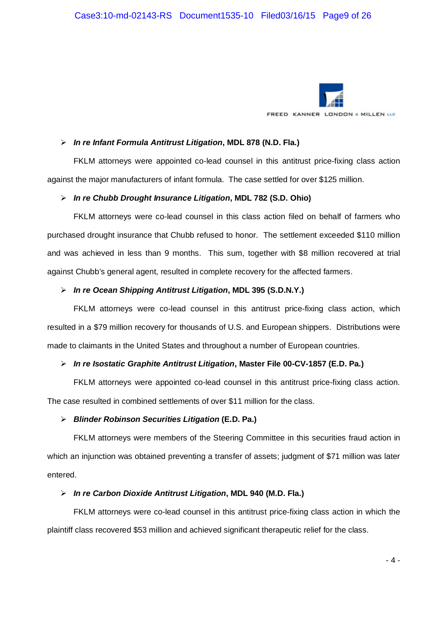

#### *In re Infant Formula Antitrust Litigation***, MDL 878 (N.D. Fla.)**

FKLM attorneys were appointed co-lead counsel in this antitrust price-fixing class action against the major manufacturers of infant formula. The case settled for over \$125 million.

#### *In re Chubb Drought Insurance Litigation***, MDL 782 (S.D. Ohio)**

FKLM attorneys were co-lead counsel in this class action filed on behalf of farmers who purchased drought insurance that Chubb refused to honor. The settlement exceeded \$110 million and was achieved in less than 9 months. This sum, together with \$8 million recovered at trial against Chubb's general agent, resulted in complete recovery for the affected farmers.

#### *In re Ocean Shipping Antitrust Litigation***, MDL 395 (S.D.N.Y.)**

FKLM attorneys were co-lead counsel in this antitrust price-fixing class action, which resulted in a \$79 million recovery for thousands of U.S. and European shippers. Distributions were made to claimants in the United States and throughout a number of European countries.

## *In re Isostatic Graphite Antitrust Litigation***, Master File 00-CV-1857 (E.D. Pa.)**

FKLM attorneys were appointed co-lead counsel in this antitrust price-fixing class action. The case resulted in combined settlements of over \$11 million for the class.

## *Blinder Robinson Securities Litigation* **(E.D. Pa.)**

FKLM attorneys were members of the Steering Committee in this securities fraud action in which an injunction was obtained preventing a transfer of assets; judgment of \$71 million was later entered.

## *In re Carbon Dioxide Antitrust Litigation***, MDL 940 (M.D. Fla.)**

FKLM attorneys were co-lead counsel in this antitrust price-fixing class action in which the plaintiff class recovered \$53 million and achieved significant therapeutic relief for the class.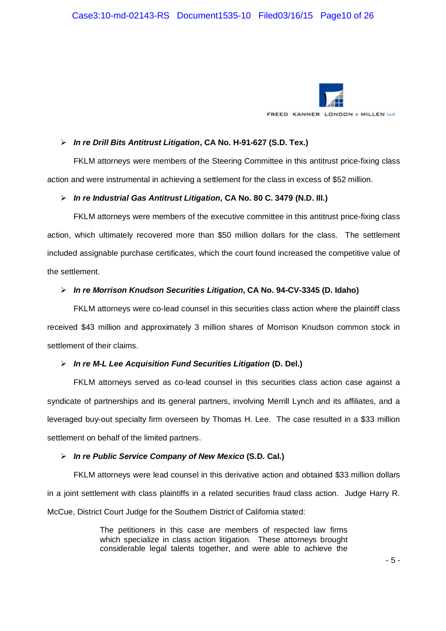

#### *In re Drill Bits Antitrust Litigation***, CA No. H-91-627 (S.D. Tex.)**

FKLM attorneys were members of the Steering Committee in this antitrust price-fixing class action and were instrumental in achieving a settlement for the class in excess of \$52 million.

#### *In re Industrial Gas Antitrust Litigation***, CA No. 80 C. 3479 (N.D. Ill.)**

FKLM attorneys were members of the executive committee in this antitrust price-fixing class action, which ultimately recovered more than \$50 million dollars for the class. The settlement included assignable purchase certificates, which the court found increased the competitive value of the settlement.

## *In re Morrison Knudson Securities Litigation***, CA No. 94-CV-3345 (D. Idaho)**

FKLM attorneys were co-lead counsel in this securities class action where the plaintiff class received \$43 million and approximately 3 million shares of Morrison Knudson common stock in settlement of their claims.

## *In re M-L Lee Acquisition Fund Securities Litigation* **(D. Del.)**

FKLM attorneys served as co-lead counsel in this securities class action case against a syndicate of partnerships and its general partners, involving Merrill Lynch and its affiliates, and a leveraged buy-out specialty firm overseen by Thomas H. Lee. The case resulted in a \$33 million settlement on behalf of the limited partners.

## *In re Public Service Company of New Mexico* **(S.D. Cal.)**

FKLM attorneys were lead counsel in this derivative action and obtained \$33 million dollars in a joint settlement with class plaintiffs in a related securities fraud class action. Judge Harry R. McCue, District Court Judge for the Southern District of California stated:

> The petitioners in this case are members of respected law firms which specialize in class action litigation. These attorneys brought considerable legal talents together, and were able to achieve the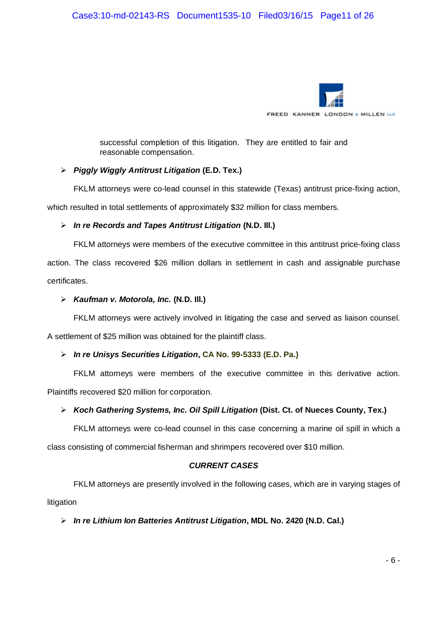

successful completion of this litigation. They are entitled to fair and reasonable compensation.

## *Piggly Wiggly Antitrust Litigation* **(E.D. Tex.)**

FKLM attorneys were co-lead counsel in this statewide (Texas) antitrust price-fixing action,

which resulted in total settlements of approximately \$32 million for class members.

## *In re Records and Tapes Antitrust Litigation* **(N.D. Ill.)**

FKLM attorneys were members of the executive committee in this antitrust price-fixing class action. The class recovered \$26 million dollars in settlement in cash and assignable purchase certificates.

#### *Kaufman v. Motorola, Inc.* **(N.D. Ill.)**

FKLM attorneys were actively involved in litigating the case and served as liaison counsel.

A settlement of \$25 million was obtained for the plaintiff class.

## *In re Unisys Securities Litigation***, CA No. 99-5333 (E.D. Pa.)**

FKLM attorneys were members of the executive committee in this derivative action. Plaintiffs recovered \$20 million for corporation.

## *Koch Gathering Systems, Inc. Oil Spill Litigation* **(Dist. Ct. of Nueces County, Tex.)**

FKLM attorneys were co-lead counsel in this case concerning a marine oil spill in which a

class consisting of commercial fisherman and shrimpers recovered over \$10 million.

## *CURRENT CASES*

FKLM attorneys are presently involved in the following cases, which are in varying stages of litigation

## *In re Lithium Ion Batteries Antitrust Litigation***, MDL No. 2420 (N.D. Cal.)**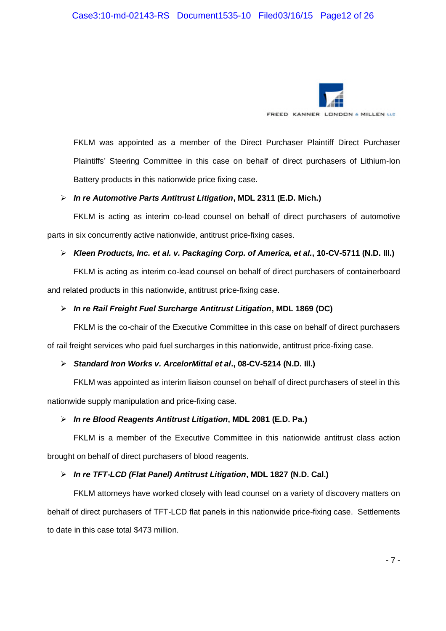

FKLM was appointed as a member of the Direct Purchaser Plaintiff Direct Purchaser Plaintiffs' Steering Committee in this case on behalf of direct purchasers of Lithium-Ion Battery products in this nationwide price fixing case.

#### *In re Automotive Parts Antitrust Litigation***, MDL 2311 (E.D. Mich.)**

FKLM is acting as interim co-lead counsel on behalf of direct purchasers of automotive parts in six concurrently active nationwide, antitrust price-fixing cases.

## *Kleen Products, Inc. et al. v. Packaging Corp. of America, et al.***, 10-CV-5711 (N.D. Ill.)**

FKLM is acting as interim co-lead counsel on behalf of direct purchasers of containerboard and related products in this nationwide, antitrust price-fixing case.

## *In re Rail Freight Fuel Surcharge Antitrust Litigation***, MDL 1869 (DC)**

FKLM is the co-chair of the Executive Committee in this case on behalf of direct purchasers of rail freight services who paid fuel surcharges in this nationwide, antitrust price-fixing case.

## *Standard Iron Works v. ArcelorMittal et al***., 08-CV-5214 (N.D. Ill.)**

FKLM was appointed as interim liaison counsel on behalf of direct purchasers of steel in this nationwide supply manipulation and price-fixing case.

## *In re Blood Reagents Antitrust Litigation***, MDL 2081 (E.D. Pa.)**

FKLM is a member of the Executive Committee in this nationwide antitrust class action brought on behalf of direct purchasers of blood reagents.

## *In re TFT-LCD (Flat Panel) Antitrust Litigation***, MDL 1827 (N.D. Cal.)**

FKLM attorneys have worked closely with lead counsel on a variety of discovery matters on behalf of direct purchasers of TFT-LCD flat panels in this nationwide price-fixing case. Settlements to date in this case total \$473 million.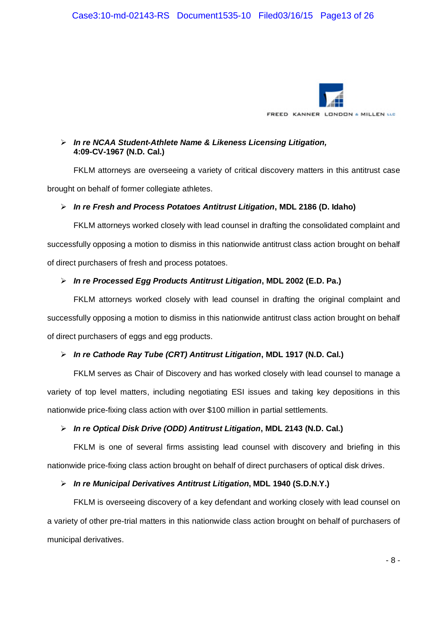

## *In re NCAA Student-Athlete Name & Likeness Licensing Litigation,* **4:09-CV-1967 (N.D. Cal.)**

FKLM attorneys are overseeing a variety of critical discovery matters in this antitrust case brought on behalf of former collegiate athletes.

## *In re Fresh and Process Potatoes Antitrust Litigation***, MDL 2186 (D. Idaho)**

FKLM attorneys worked closely with lead counsel in drafting the consolidated complaint and successfully opposing a motion to dismiss in this nationwide antitrust class action brought on behalf of direct purchasers of fresh and process potatoes.

## *In re Processed Egg Products Antitrust Litigation***, MDL 2002 (E.D. Pa.)**

FKLM attorneys worked closely with lead counsel in drafting the original complaint and successfully opposing a motion to dismiss in this nationwide antitrust class action brought on behalf of direct purchasers of eggs and egg products.

## *In re Cathode Ray Tube (CRT) Antitrust Litigation***, MDL 1917 (N.D. Cal.)**

FKLM serves as Chair of Discovery and has worked closely with lead counsel to manage a variety of top level matters, including negotiating ESI issues and taking key depositions in this nationwide price-fixing class action with over \$100 million in partial settlements.

## *In re Optical Disk Drive (ODD) Antitrust Litigation***, MDL 2143 (N.D. Cal.)**

FKLM is one of several firms assisting lead counsel with discovery and briefing in this nationwide price-fixing class action brought on behalf of direct purchasers of optical disk drives.

## *In re Municipal Derivatives Antitrust Litigation***, MDL 1940 (S.D.N.Y.)**

FKLM is overseeing discovery of a key defendant and working closely with lead counsel on a variety of other pre-trial matters in this nationwide class action brought on behalf of purchasers of municipal derivatives.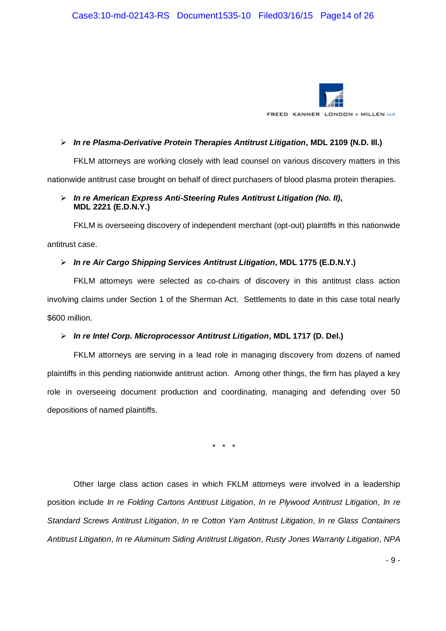

#### *In re Plasma-Derivative Protein Therapies Antitrust Litigation***, MDL 2109 (N.D. Ill.)**

FKLM attorneys are working closely with lead counsel on various discovery matters in this nationwide antitrust case brought on behalf of direct purchasers of blood plasma protein therapies.

## *In re American Express Anti-Steering Rules Antitrust Litigation (No. II)***, MDL 2221 (E.D.N.Y.)**

FKLM is overseeing discovery of independent merchant (opt-out) plaintiffs in this nationwide antitrust case.

## *In re Air Cargo Shipping Services Antitrust Litigation***, MDL 1775 (E.D.N.Y.)**

FKLM attorneys were selected as co-chairs of discovery in this antitrust class action involving claims under Section 1 of the Sherman Act. Settlements to date in this case total nearly \$600 million.

## *In re Intel Corp. Microprocessor Antitrust Litigation***, MDL 1717 (D. Del.)**

FKLM attorneys are serving in a lead role in managing discovery from dozens of named plaintiffs in this pending nationwide antitrust action. Among other things, the firm has played a key role in overseeing document production and coordinating, managing and defending over 50 depositions of named plaintiffs.

\* \* \*

Other large class action cases in which FKLM attorneys were involved in a leadership position include *In re Folding Cartons Antitrust Litigation*, *In re Plywood Antitrust Litigation*, *In re Standard Screws Antitrust Litigation*, *In re Cotton Yarn Antitrust Litigation*, *In re Glass Containers Antitrust Litigation*, *In re Aluminum Siding Antitrust Litigation*, *Rusty Jones Warranty Litigation*, *NPA*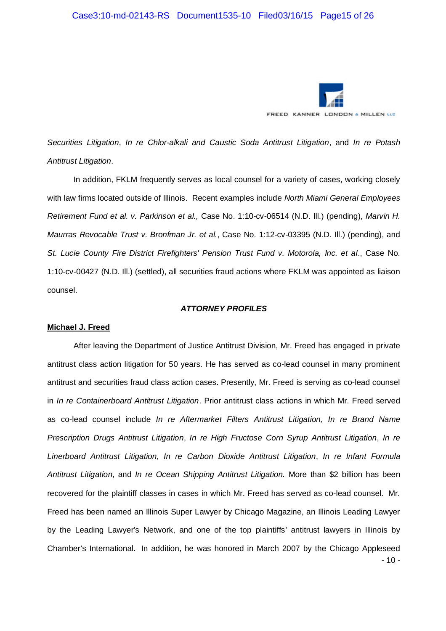

*Securities Litigation*, *In re Chlor-alkali and Caustic Soda Antitrust Litigation*, and *In re Potash Antitrust Litigation*.

In addition, FKLM frequently serves as local counsel for a variety of cases, working closely with law firms located outside of Illinois. Recent examples include *North Miami General Employees Retirement Fund et al. v. Parkinson et al.,* Case No. 1:10-cv-06514 (N.D. Ill.) (pending), *Marvin H. Maurras Revocable Trust v. Bronfman Jr. et al.*, Case No. 1:12-cv-03395 (N.D. Ill.) (pending), and *St. Lucie County Fire District Firefighters' Pension Trust Fund v. Motorola, Inc. et al*., Case No. 1:10-cv-00427 (N.D. Ill.) (settled), all securities fraud actions where FKLM was appointed as liaison counsel.

#### *ATTORNEY PROFILES*

#### **Michael J. Freed**

- 10 - After leaving the Department of Justice Antitrust Division, Mr. Freed has engaged in private antitrust class action litigation for 50 years. He has served as co-lead counsel in many prominent antitrust and securities fraud class action cases. Presently, Mr. Freed is serving as co-lead counsel in *In re Containerboard Antitrust Litigation*. Prior antitrust class actions in which Mr. Freed served as co-lead counsel include *In re Aftermarket Filters Antitrust Litigation, In re Brand Name Prescription Drugs Antitrust Litigation*, *In re High Fructose Corn Syrup Antitrust Litigation*, *In re Linerboard Antitrust Litigation*, *In re Carbon Dioxide Antitrust Litigation*, *In re Infant Formula Antitrust Litigation*, and *In re Ocean Shipping Antitrust Litigation.* More than \$2 billion has been recovered for the plaintiff classes in cases in which Mr. Freed has served as co-lead counsel. Mr. Freed has been named an Illinois Super Lawyer by Chicago Magazine, an Illinois Leading Lawyer by the Leading Lawyer's Network, and one of the top plaintiffs' antitrust lawyers in Illinois by Chamber's International. In addition, he was honored in March 2007 by the Chicago Appleseed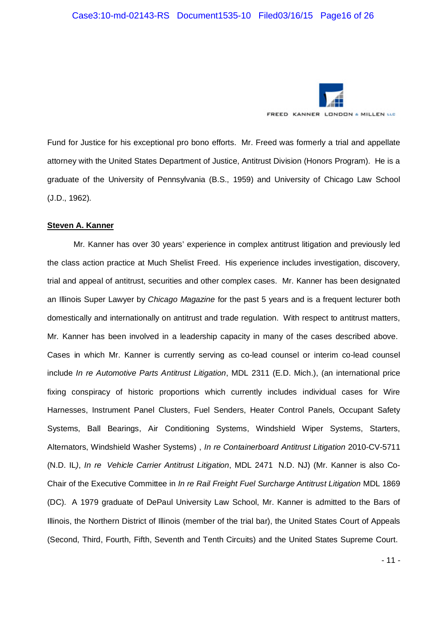

Fund for Justice for his exceptional pro bono efforts. Mr. Freed was formerly a trial and appellate attorney with the United States Department of Justice, Antitrust Division (Honors Program). He is a graduate of the University of Pennsylvania (B.S., 1959) and University of Chicago Law School (J.D., 1962).

#### **Steven A. Kanner**

Mr. Kanner has over 30 years' experience in complex antitrust litigation and previously led the class action practice at Much Shelist Freed. His experience includes investigation, discovery, trial and appeal of antitrust, securities and other complex cases. Mr. Kanner has been designated an Illinois Super Lawyer by *Chicago Magazine* for the past 5 years and is a frequent lecturer both domestically and internationally on antitrust and trade regulation. With respect to antitrust matters, Mr. Kanner has been involved in a leadership capacity in many of the cases described above. Cases in which Mr. Kanner is currently serving as co-lead counsel or interim co-lead counsel include *In re Automotive Parts Antitrust Litigation*, MDL 2311 (E.D. Mich.), (an international price fixing conspiracy of historic proportions which currently includes individual cases for Wire Harnesses, Instrument Panel Clusters, Fuel Senders, Heater Control Panels, Occupant Safety Systems, Ball Bearings, Air Conditioning Systems, Windshield Wiper Systems, Starters, Alternators, Windshield Washer Systems) , *In re Containerboard Antitrust Litigation* 2010-CV-5711 (N.D. IL*)*, *In re Vehicle Carrier Antitrust Litigation*, MDL 2471 N.D. NJ) (Mr. Kanner is also Co-Chair of the Executive Committee in *In re Rail Freight Fuel Surcharge Antitrust Litigation* MDL 1869 (DC). A 1979 graduate of DePaul University Law School, Mr. Kanner is admitted to the Bars of Illinois, the Northern District of Illinois (member of the trial bar), the United States Court of Appeals (Second, Third, Fourth, Fifth, Seventh and Tenth Circuits) and the United States Supreme Court.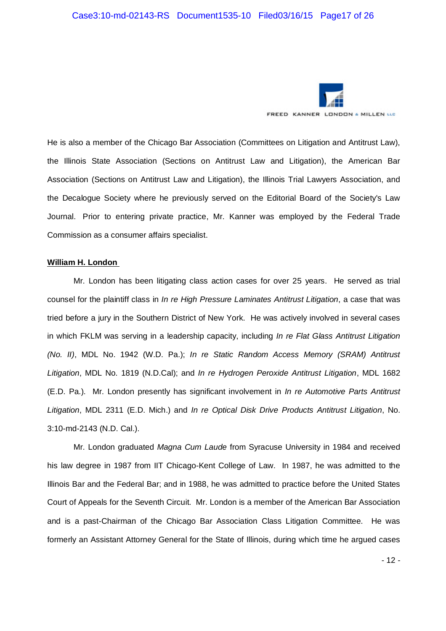

He is also a member of the Chicago Bar Association (Committees on Litigation and Antitrust Law), the Illinois State Association (Sections on Antitrust Law and Litigation), the American Bar Association (Sections on Antitrust Law and Litigation), the Illinois Trial Lawyers Association, and the Decalogue Society where he previously served on the Editorial Board of the Society's Law Journal. Prior to entering private practice, Mr. Kanner was employed by the Federal Trade Commission as a consumer affairs specialist.

#### **William H. London**

Mr. London has been litigating class action cases for over 25 years. He served as trial counsel for the plaintiff class in *In re High Pressure Laminates Antitrust Litigation*, a case that was tried before a jury in the Southern District of New York. He was actively involved in several cases in which FKLM was serving in a leadership capacity, including *In re Flat Glass Antitrust Litigation (No. II)*, MDL No. 1942 (W.D. Pa.); *In re Static Random Access Memory (SRAM) Antitrust Litigation*, MDL No. 1819 (N.D.Cal); and *In re Hydrogen Peroxide Antitrust Litigation*, MDL 1682 (E.D. Pa.). Mr. London presently has significant involvement in *In re Automotive Parts Antitrust Litigation*, MDL 2311 (E.D. Mich.) and *In re Optical Disk Drive Products Antitrust Litigation*, No. 3:10-md-2143 (N.D. Cal.).

Mr. London graduated *Magna Cum Laude* from Syracuse University in 1984 and received his law degree in 1987 from IIT Chicago-Kent College of Law. In 1987, he was admitted to the Illinois Bar and the Federal Bar; and in 1988, he was admitted to practice before the United States Court of Appeals for the Seventh Circuit. Mr. London is a member of the American Bar Association and is a past-Chairman of the Chicago Bar Association Class Litigation Committee. He was formerly an Assistant Attorney General for the State of Illinois, during which time he argued cases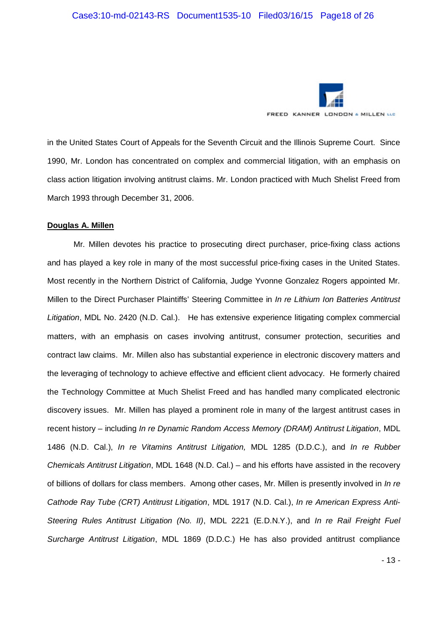

in the United States Court of Appeals for the Seventh Circuit and the Illinois Supreme Court. Since 1990, Mr. London has concentrated on complex and commercial litigation, with an emphasis on class action litigation involving antitrust claims. Mr. London practiced with Much Shelist Freed from March 1993 through December 31, 2006.

#### **Douglas A. Millen**

Mr. Millen devotes his practice to prosecuting direct purchaser, price-fixing class actions and has played a key role in many of the most successful price-fixing cases in the United States. Most recently in the Northern District of California, Judge Yvonne Gonzalez Rogers appointed Mr. Millen to the Direct Purchaser Plaintiffs' Steering Committee in *In re Lithium Ion Batteries Antitrust Litigation*, MDL No. 2420 (N.D. Cal.). He has extensive experience litigating complex commercial matters, with an emphasis on cases involving antitrust, consumer protection, securities and contract law claims. Mr. Millen also has substantial experience in electronic discovery matters and the leveraging of technology to achieve effective and efficient client advocacy. He formerly chaired the Technology Committee at Much Shelist Freed and has handled many complicated electronic discovery issues. Mr. Millen has played a prominent role in many of the largest antitrust cases in recent history – including *In re Dynamic Random Access Memory (DRAM) Antitrust Litigation*, MDL 1486 (N.D. Cal.), *In re Vitamins Antitrust Litigation,* MDL 1285 (D.D.C.), and *In re Rubber Chemicals Antitrust Litigation*, MDL 1648 (N.D. Cal.) – and his efforts have assisted in the recovery of billions of dollars for class members. Among other cases, Mr. Millen is presently involved in *In re Cathode Ray Tube (CRT) Antitrust Litigation*, MDL 1917 (N.D. Cal.), *In re American Express Anti-Steering Rules Antitrust Litigation (No. II)*, MDL 2221 (E.D.N.Y.), and *In re Rail Freight Fuel Surcharge Antitrust Litigation*, MDL 1869 (D.D.C.) He has also provided antitrust compliance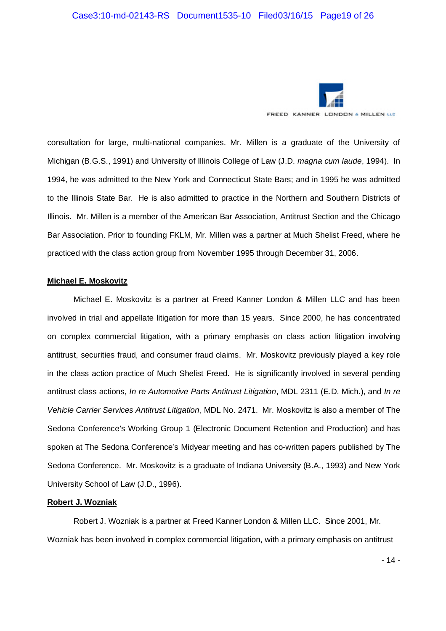

consultation for large, multi-national companies. Mr. Millen is a graduate of the University of Michigan (B.G.S., 1991) and University of Illinois College of Law (J.D. *magna cum laude*, 1994). In 1994, he was admitted to the New York and Connecticut State Bars; and in 1995 he was admitted to the Illinois State Bar. He is also admitted to practice in the Northern and Southern Districts of Illinois. Mr. Millen is a member of the American Bar Association, Antitrust Section and the Chicago Bar Association. Prior to founding FKLM, Mr. Millen was a partner at Much Shelist Freed, where he practiced with the class action group from November 1995 through December 31, 2006.

#### **Michael E. Moskovitz**

Michael E. Moskovitz is a partner at Freed Kanner London & Millen LLC and has been involved in trial and appellate litigation for more than 15 years. Since 2000, he has concentrated on complex commercial litigation, with a primary emphasis on class action litigation involving antitrust, securities fraud, and consumer fraud claims. Mr. Moskovitz previously played a key role in the class action practice of Much Shelist Freed. He is significantly involved in several pending antitrust class actions, *In re Automotive Parts Antitrust Litigation*, MDL 2311 (E.D. Mich.), and *In re Vehicle Carrier Services Antitrust Litigation*, MDL No. 2471. Mr. Moskovitz is also a member of The Sedona Conference's Working Group 1 (Electronic Document Retention and Production) and has spoken at The Sedona Conference's Midyear meeting and has co-written papers published by The Sedona Conference. Mr. Moskovitz is a graduate of Indiana University (B.A., 1993) and New York University School of Law (J.D., 1996).

#### **Robert J. Wozniak**

Robert J. Wozniak is a partner at Freed Kanner London & Millen LLC. Since 2001, Mr. Wozniak has been involved in complex commercial litigation, with a primary emphasis on antitrust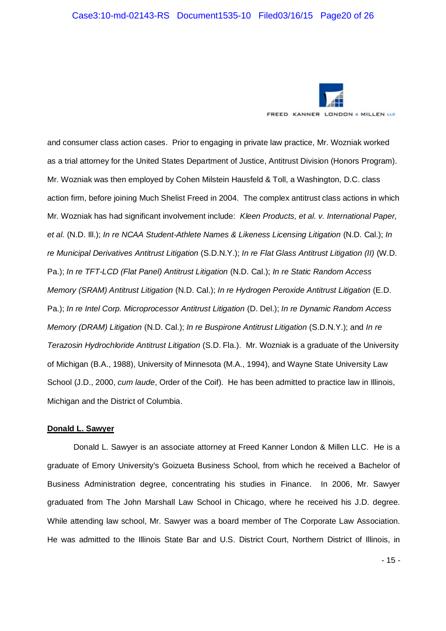

and consumer class action cases. Prior to engaging in private law practice, Mr. Wozniak worked as a trial attorney for the United States Department of Justice, Antitrust Division (Honors Program). Mr. Wozniak was then employed by Cohen Milstein Hausfeld & Toll, a Washington, D.C. class action firm, before joining Much Shelist Freed in 2004. The complex antitrust class actions in which Mr. Wozniak has had significant involvement include: *Kleen Products, et al. v. International Paper, et al.* (N.D. Ill.); *In re NCAA Student-Athlete Names & Likeness Licensing Litigation* (N.D. Cal.); *In re Municipal Derivatives Antitrust Litigation* (S.D.N.Y.); *In re Flat Glass Antitrust Litigation (II)* (W.D. Pa.); *In re TFT-LCD (Flat Panel) Antitrust Litigation* (N.D. Cal.); *In re Static Random Access Memory (SRAM) Antitrust Litigation* (N.D. Cal.); *In re Hydrogen Peroxide Antitrust Litigation* (E.D. Pa.); *In re Intel Corp. Microprocessor Antitrust Litigation* (D. Del.); *In re Dynamic Random Access Memory (DRAM) Litigation* (N.D. Cal.); *In re Buspirone Antitrust Litigation* (S.D.N.Y.); and *In re Terazosin Hydrochloride Antitrust Litigation* (S.D. Fla.). Mr. Wozniak is a graduate of the University of Michigan (B.A., 1988), University of Minnesota (M.A., 1994), and Wayne State University Law School (J.D., 2000, *cum laude*, Order of the Coif). He has been admitted to practice law in Illinois, Michigan and the District of Columbia.

#### **Donald L. Sawyer**

Donald L. Sawyer is an associate attorney at Freed Kanner London & Millen LLC. He is a graduate of Emory University's Goizueta Business School, from which he received a Bachelor of Business Administration degree, concentrating his studies in Finance. In 2006, Mr. Sawyer graduated from The John Marshall Law School in Chicago, where he received his J.D. degree. While attending law school, Mr. Sawyer was a board member of The Corporate Law Association. He was admitted to the Illinois State Bar and U.S. District Court, Northern District of Illinois, in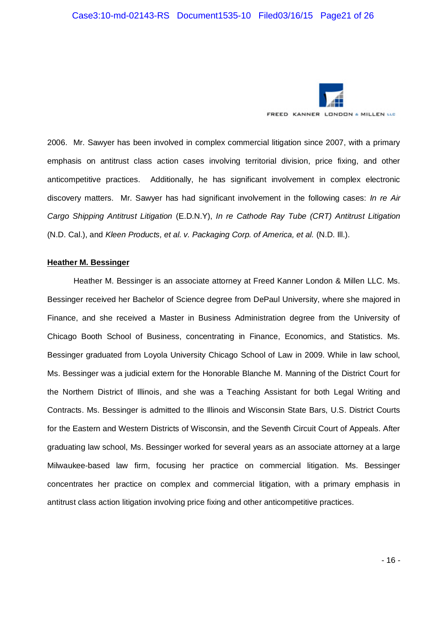

2006. Mr. Sawyer has been involved in complex commercial litigation since 2007, with a primary emphasis on antitrust class action cases involving territorial division, price fixing, and other anticompetitive practices. Additionally, he has significant involvement in complex electronic discovery matters. Mr. Sawyer has had significant involvement in the following cases: *In re Air Cargo Shipping Antitrust Litigation* (E.D.N.Y), *In re Cathode Ray Tube (CRT) Antitrust Litigation* (N.D. Cal.), and *Kleen Products, et al. v. Packaging Corp. of America, et al.* (N.D. Ill.).

#### **Heather M. Bessinger**

Heather M. Bessinger is an associate attorney at Freed Kanner London & Millen LLC. Ms. Bessinger received her Bachelor of Science degree from DePaul University, where she majored in Finance, and she received a Master in Business Administration degree from the University of Chicago Booth School of Business, concentrating in Finance, Economics, and Statistics. Ms. Bessinger graduated from Loyola University Chicago School of Law in 2009. While in law school, Ms. Bessinger was a judicial extern for the Honorable Blanche M. Manning of the District Court for the Northern District of Illinois, and she was a Teaching Assistant for both Legal Writing and Contracts. Ms. Bessinger is admitted to the Illinois and Wisconsin State Bars, U.S. District Courts for the Eastern and Western Districts of Wisconsin, and the Seventh Circuit Court of Appeals. After graduating law school, Ms. Bessinger worked for several years as an associate attorney at a large Milwaukee-based law firm, focusing her practice on commercial litigation. Ms. Bessinger concentrates her practice on complex and commercial litigation, with a primary emphasis in antitrust class action litigation involving price fixing and other anticompetitive practices.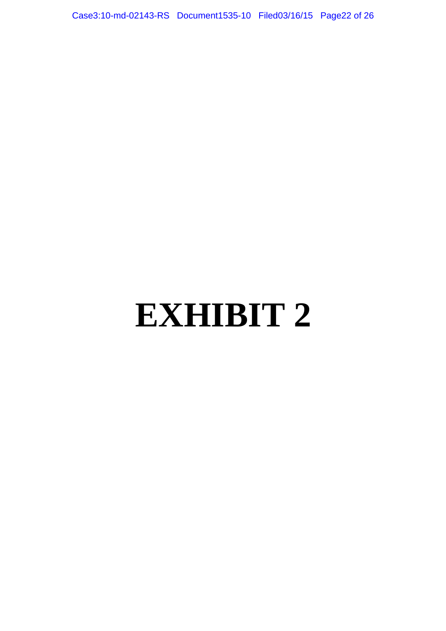Case3:10-md-02143-RS Document1535-10 Filed03/16/15 Page22 of 26

# **EXHIBIT 2**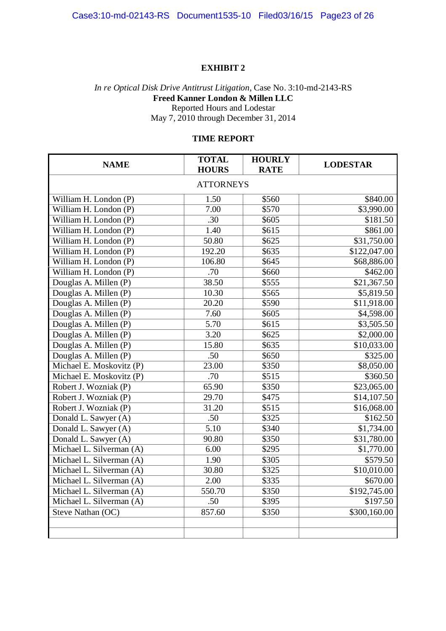#### **EXHIBIT 2**

## *In re Optical Disk Drive Antitrust Litigation*, Case No. 3:10-md-2143-RS **Freed Kanner London & Millen LLC** Reported Hours and Lodestar May 7, 2010 through December 31, 2014

## **TIME REPORT**

| <b>NAME</b>                         | <b>TOTAL</b><br><b>HOURS</b> | <b>HOURLY</b><br><b>RATE</b> | <b>LODESTAR</b> |  |  |
|-------------------------------------|------------------------------|------------------------------|-----------------|--|--|
|                                     |                              |                              |                 |  |  |
| <b>ATTORNEYS</b>                    |                              |                              |                 |  |  |
| William H. London (P)               | 1.50                         | \$560                        | \$840.00        |  |  |
| William H. London (P)               | 7.00                         | \$570                        | \$3,990.00      |  |  |
| William H. London (P)               | .30                          | \$605                        | \$181.50        |  |  |
| William H. London (P)               | $\overline{1.40}$            | \$615                        | \$861.00        |  |  |
| William H. London (P)               | 50.80                        | \$625                        | \$31,750.00     |  |  |
| William H. London (P)               | 192.20                       | \$635                        | \$122,047.00    |  |  |
| William H. London (P)               | $106.\overline{80}$          | \$645                        | \$68,886.00     |  |  |
| William H. London (P)               | .70                          | \$660                        | \$462.00        |  |  |
| Douglas A. Millen (P)               | 38.50                        | \$555                        | \$21,367.50     |  |  |
| Douglas A. Millen (P)               | 10.30                        | \$565                        | \$5,819.50      |  |  |
| Douglas A. Millen (P)               | 20.20                        | \$590                        | \$11,918.00     |  |  |
| Douglas A. Millen (P)               | 7.60                         | \$605                        | \$4,598.00      |  |  |
| Douglas A. Millen (P)               | 5.70                         | \$615                        | \$3,505.50      |  |  |
| Douglas A. Millen (P)               | 3.20                         | \$625                        | \$2,000.00      |  |  |
| Douglas $\overline{A}$ . Millen (P) | 15.80                        | \$635                        | \$10,033.00     |  |  |
| Douglas A. Millen (P)               | .50                          | \$650                        | \$325.00        |  |  |
| Michael E. Moskovitz (P)            | 23.00                        | \$350                        | \$8,050.00      |  |  |
| Michael E. Moskovitz (P)            | .70                          | \$515                        | \$360.50        |  |  |
| Robert J. Wozniak (P)               | 65.90                        | \$350                        | \$23,065.00     |  |  |
| Robert J. Wozniak (P)               | 29.70                        | \$475                        | \$14,107.50     |  |  |
| Robert J. Wozniak (P)               | 31.20                        | \$515                        | \$16,068.00     |  |  |
| Donald L. Sawyer (A)                | .50                          | \$325                        | \$162.50        |  |  |
| Donald L. Sawyer (A)                | $\overline{5.10}$            | \$340                        | \$1,734.00      |  |  |
| Donald L. Sawyer (A)                | 90.80                        | $\sqrt{$350}$                | \$31,780.00     |  |  |
| Michael L. Silverman (A)            | 6.00                         | \$295                        | \$1,770.00      |  |  |
| Michael L. Silverman (A)            | 1.90                         | \$305                        | \$579.50        |  |  |
| Michael L. Silverman (A)            | 30.80                        | \$325                        | \$10,010.00     |  |  |
| Michael L. Silverman (A)            | 2.00                         | $\sqrt{$335}$                | \$670.00        |  |  |
| Michael L. Silverman (A)            | 550.70                       | \$350                        | \$192,745.00    |  |  |
| Michael L. Silverman (A)            | .50                          | \$395                        | \$197.50        |  |  |
| Steve Nathan (OC)                   | 857.60                       | \$350                        | \$300,160.00    |  |  |
|                                     |                              |                              |                 |  |  |
|                                     |                              |                              |                 |  |  |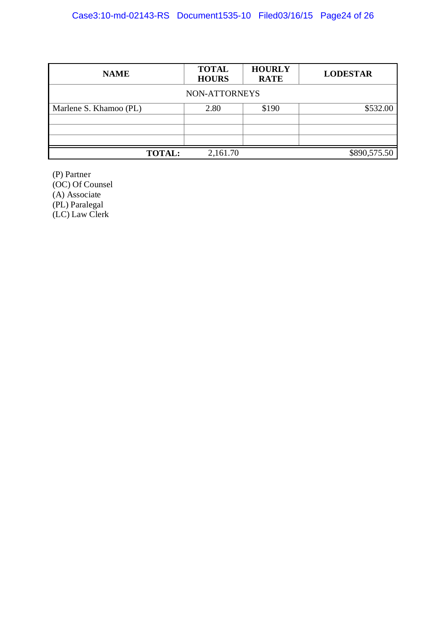| <b>NAME</b>            | <b>TOTAL</b><br><b>HOURS</b> | <b>HOURLY</b><br><b>RATE</b> | <b>LODESTAR</b> |  |  |  |
|------------------------|------------------------------|------------------------------|-----------------|--|--|--|
| NON-ATTORNEYS          |                              |                              |                 |  |  |  |
| Marlene S. Khamoo (PL) | 2.80                         | \$190                        | \$532.00        |  |  |  |
|                        |                              |                              |                 |  |  |  |
|                        |                              |                              |                 |  |  |  |
| <b>TOTAL:</b>          | 2,161.70                     |                              | \$890,575.50    |  |  |  |

(P) Partner (OC) Of Counsel (A) Associate (PL) Paralegal (LC) Law Clerk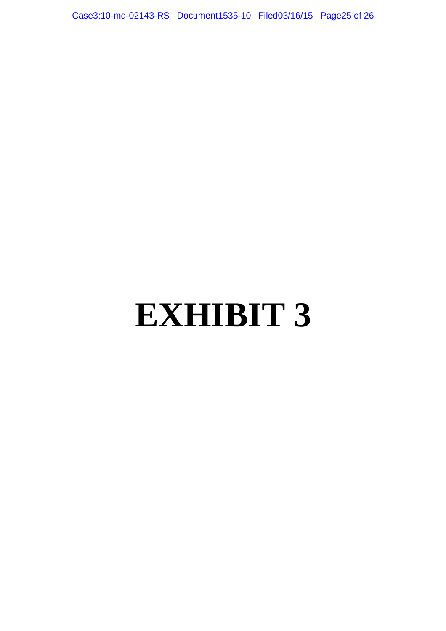Case3:10-md-02143-RS Document1535-10 Filed03/16/15 Page25 of 26

# **EXHIBIT 3**